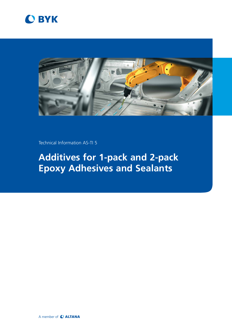



Technical Information AS-TI 5

# **Additives for 1-pack and 2-pack Epoxy Adhesives and Sealants**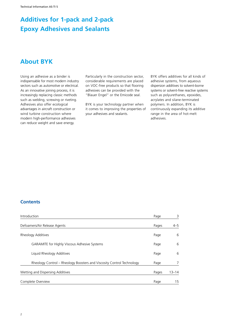### **About BYK**

Using an adhesive as a binder is indispensable for most modern industry sectors such as automotive or electrical. As an innovative joining process, it is increasingly replacing classic methods such as welding, screwing or riveting. Adhesives also offer ecological advantages in aircraft construction or wind turbine construction where modern high-performance adhesives can reduce weight and save energy.

Particularly in the construction sector, considerable requirements are placed on VOC-free products so that flooring adhesives can be provided with the "Blauer Engel" or the Emicode seal.

BYK is your technology partner when it comes to improving the properties of your adhesives and sealants.

BYK offers additives for all kinds of adhesive systems, from aqueous dispersion additives to solvent-borne systems or solvent-free reactive systems such as polyurethanes, epoxides, acrylates and silane-terminated polymers. In addition, BYK is continuously expanding its additive range in the area of hot-melt adhesives.

### **Contents**

| Introduction                                                          | Page  | 3         |
|-----------------------------------------------------------------------|-------|-----------|
| Defoamers/Air Release Agents                                          | Pages | $4 - 5$   |
| Rheology Additives                                                    | Page  | 6         |
| <b>GARAMITE for Highly Viscous Adhesive Systems</b>                   | Page  | 6         |
| Liquid Rheology Additives                                             | Page  | 6         |
| Rheology Control - Rheology Boosters and Viscosity Control Technology | Page  | 7         |
| Wetting and Dispersing Additives                                      | Pages | $13 - 14$ |
| Complete Overview                                                     | Page  | 15        |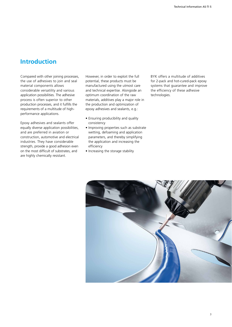### **Introduction**

Compared with other joining processes, the use of adhesives to join and seal material components allows considerable versatility and various application possibilities. The adhesive process is often superior to other production processes, and it fulfills the requirements of a multitude of highperformance applications.

Epoxy adhesives and sealants offer equally diverse application possibilities, and are preferred in aviation or construction, automotive and electrical industries. They have considerable strength, provide a good adhesion even on the most difficult of substrates, and are highly chemically resistant.

However, in order to exploit the full potential, these products must be manufactured using the utmost care and technical expertise. Alongside an optimum coordination of the raw materials, additives play a major role in the production and optimization of epoxy adhesives and sealants, e.g.:

- Ensuring producibility and quality consistency
- Improving properties such as substrate wetting, defoaming and application parameters, and thereby simplifying the application and increasing the efficiency
- Increasing the storage stability

BYK offers a multitude of additives for 2-pack and hot-cured-pack epoxy systems that guarantee and improve the efficiency of these adhesive technologies.

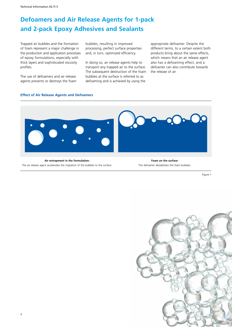Technical Information AS-TI 5

# **Defoamers and Air Release Agents for 1-pack and 2-pack Epoxy Adhesives and Sealants**

Trapped air bubbles and the formation of foam represent a major challenge in the production and application processes of epoxy formulations, especially with thick layers and sophisticated viscosity profiles.

The use of defoamers and air release agents prevents or destroys the foam bubbles, resulting in improved processing, perfect surface properties and, in turn, optimized efficiency.

In doing so, air release agents help to transport any trapped air to the surface. The subsequent destruction of the foam bubbles at the surface is referred to as defoaming and is achieved by using the

appropriate defoamer. Despite the different terms, to a certain extent both products bring about the same effects, which means that an air release agent also has a defoaming effect, and a defoamer can also contribute towards the release of air.

#### **Effect of Air Release Agents and Defoamers**



**Air entrapment in the formulation:** The air release agent accelerates the migration of the bubbles to the surface.

**Foam on the surface:** The defoamer destabilizes the foam bubbles.

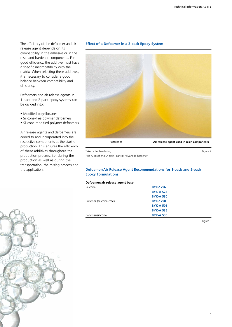The efficiency of the defoamer and air release agent depends on its compatibility in the adhesive or in the resin and hardener components. For good efficiency, the additive must have a specific incompatibility with the matrix. When selecting these additives, it is necessary to consider a good balance between compatibility and efficiency.

Defoamers and air release agents in 1-pack and 2-pack epoxy systems can be divided into:

- Modified polysiloxanes
- Silicone-free polymer defoamers
- Silicone modified polymer defoamers

Air release agents and defoamers are added to and incorporated into the respective components at the start of production. This ensures the efficiency of these additives throughout the production process, i.e. during the production as well as during the transportation, the mixing process and the application.





Taken after hardening. The state of the state of the state of the state of the state of the state of the state of the state of the state of the state of the state of the state of the state of the state of the state of the

Part A: Bisphenol A resin, Part B: Polyamide hardener

#### **Defoamer/Air Release Agent Recommendations for 1-pack and 2-pack Epoxy Formulations**

| Defoamer/air release agent base |                  |  |
|---------------------------------|------------------|--|
| Silicone                        | <b>BYK-1796</b>  |  |
|                                 | <b>BYK-A 525</b> |  |
|                                 | <b>BYK-A 530</b> |  |
| Polymer (silicone-free)         | <b>BYK-1790</b>  |  |
|                                 | <b>BYK-A 501</b> |  |
|                                 | <b>BYK-A 535</b> |  |
| Polymer/silicone                | <b>BYK-A 530</b> |  |

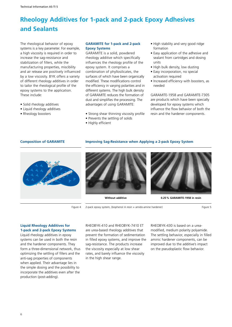The rheological behavior of epoxy systems is a key parameter. For example, a high viscosity is required in order to increase the sag-resistance and stabilization of fillers, while the manufacturing properties, miscibility and air release are positively influenced by a low viscosity. BYK offers a variety of different rheology additives in order to tailor the rheological profile of the epoxy systems to the application. These include:

- Solid rheology additives
- Liquid rheology additives
- Rheology boosters

#### **GARAMITE for 1-pack and 2-pack Epoxy Systems**

GARAMITE is a solid, powdered rheology additive which specifically influences the rheology profile of the epoxy system. It comprises a combination of phyllosilicates, the surfaces of which have been organically modified. These modifications control the efficiency in varying polarities and in different systems. The high bulk density of GARAMITE reduces the formation of dust and simplifies the processing. The advantages of using GARAMITE:

- Strong shear thinning viscosity profile
- Prevents the settling of solids
- Highly efficient
- High stability and very good ridge formation
- Easy application of the adhesive and sealant from cartridges and dosing units
- High bulk density, low dusting
- Easy incorporation, no special activation required
- Increased efficiency with boosters, as needed

GARAMITE-1958 and GARAMITE-7305 are products which have been specially developed for epoxy systems which influence the flow behavior of both the resin and the hardener components.

#### **Composition of GARAMITE**

#### **Improving Sag-Resistance when Applying a 2-pack Epoxy System**



Figure 4

2-pack epoxy system, (bisphenol A resin + amido-amine hardener) example that the state of Figure 5

### **Liquid Rheology Additives for**

**1-pack and 2-pack Epoxy Systems** Liquid rheology additives in epoxy systems can be used in both the resin and the hardener components. They form a three-dimensional network, thus optimizing the settling of fillers and the anti-sag properties of components when applied. Their advantage lies in the simple dosing and the possibility to incorporate the additives even after the production (post-adding).

RHEOBYK-410 and RHEOBYK-7410 ET are urea-based rheology additives that prevent the formation of sedimentation in filled epoxy systems, and improve the sag-resistance. The products increase the viscosity especially at low shear rates, and barely influence the viscosity in the high shear range.

RHEOBYK-430 is based on a ureamodified, medium polarity polyamide. The settling behavior, especially in filled aminic hardener components, can be improved due to the additive's impact on the pseudoplastic flow behavior.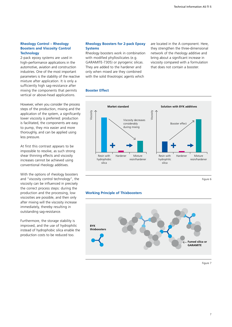#### **Rheology Control – Rheology Boosters and Viscosity Control Technology**

2-pack epoxy systems are used in high-performance applications in the automotive, aviation and construction industries. One of the most important parameters is the stability of the reactive mixture after application. It is only a sufficiently high sag-resistance after mixing the components that permits vertical or above-head applications.

However, when you consider the process steps of the production, mixing and the application of the system, a significantly lower viscosity is preferred: production is facilitated, the components are easy to pump, they mix easier and more thoroughly, and can be applied using less pressure.

At first this contrast appears to be impossible to resolve, as such strong shear thinning effects and viscosity increases cannot be achieved using conventional rheology additives.

With the options of rheology boosters and "viscosity control technology", the viscosity can be influenced in precisely the correct process steps: during the production and the processing, low viscosities are possible, and then only after mixing will the viscosity increase immediately, thereby resulting in outstanding sag-resistance.

Furthermore, the storage stability is improved, and the use of hydrophilic instead of hydrophobic silica enable the production costs to be reduced too.

#### **Rheology Boosters for 2-pack Epoxy Systems**

Rheology boosters work in combination with modified phyllosilicates (e.g. GARAMITE-7305) or pyrogenic silicas. They are added to the hardener and only when mixed are they combined with the solid thixotropic agents which

are located in the A component. Here, they strengthen the three-dimensional network of the rheology additive and bring about a significant increase in viscosity compared with a formulation that does not contain a booster.

#### **Booster Effect**



Figure 6

#### **Working Principle of Thixboosters**

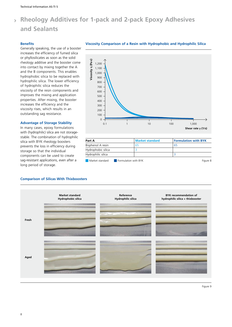#### **Benefits**

Generally speaking, the use of a booster increases the efficiency of fumed silica or phyllosilicates as soon as the solid rheology additive and the booster come into contact by mixing together the A and the B components. This enables hydrophobic silica to be replaced with hydrophilic silica. The lower efficiency of hydrophilic silica reduces the viscosity of the resin components and improves the mixing and application properties. After mixing, the booster increases the efficiency and the viscosity rises, which results in an outstanding sag resistance.

#### **Advantage of Storage Stability**

In many cases, epoxy formulations with (hydrophilic) silica are not storagestable. The combination of hydrophilic silica with BYK rheology boosters prevents the loss in efficiency during storage so that the individual components can be used to create sag-resistant applications, even after a long period of storage.



| Part A             |                      | <b>Market standard</b> | <b>Formulation with BYK</b> |          |
|--------------------|----------------------|------------------------|-----------------------------|----------|
| Bisphenol A resin  |                      | 65                     | 65                          |          |
| Hydrophobic silica |                      |                        |                             |          |
| Hydrophilic silica |                      |                        |                             |          |
| Market standard    | Formulation with BYK |                        |                             | Figure 8 |

#### **Comparison of Silicas With Thixboosters**



#### **Viscosity Comparison of a Resin with Hydrophobic and Hydrophilic Silica**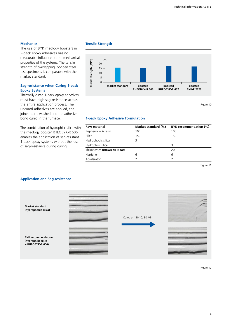#### **Mechanics**

The use of BYK rheology boosters in 2-pack epoxy adhesives has no measurable influence on the mechanical properties of the systems. The tensile strength of overlapping, bonded steel test specimens is comparable with the market standard.

#### **Sag-resistance when Curing 1-pack Epoxy Systems**

Thermally cured 1-pack epoxy adhesives must have high sag-resistance across the entire application process. The uncured adhesives are applied, the joined parts washed and the adhesive bond cured in the furnace.

The combination of hydrophilic silica with the rheology booster RHEOBYK-R 606 enables the application of sag-resistant 1-pack epoxy systems without the loss of sag-resistance during curing.

#### **Tensile Strength**



#### **1-pack Epoxy Adhesive Formulation**

| <b>Raw material</b>       | Market standard (%) | BYK recommendation (%) |
|---------------------------|---------------------|------------------------|
| Bisphenol - A resin       | 100                 | 100                    |
| Filler                    | 150                 | 150                    |
| Hydrophobic silica        |                     |                        |
| Hydrophilic silica        |                     |                        |
| Thixbooster RHEOBYK-R 606 |                     | 20                     |
| Hardener                  | 6                   | 6                      |
| Accelerator               |                     |                        |

Figure 11

#### **Application and Sag-resistance**

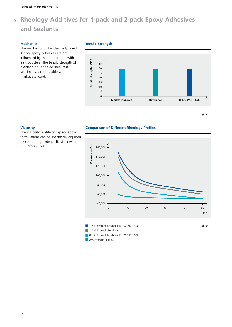#### **Mechanics**

The mechanics of the thermally cured 1-pack epoxy adhesives are not influenced by the modification with BYK boosters. The tensile strength of overlapping, adhered steel test specimens is comparable with the market standard.

#### **Tensile Strength**



Figure 13

#### **Viscosity**

The viscosity profile of 1-pack epoxy formulations can be specifically adjusted by combining hydrophilic silica with RHEOBYK-R 606.



 $\blacksquare$  0.6% hydrophilic silica + RHEOBYK-R 606

**Comparison of Different Rheology Profiles**

 $\blacksquare$  3% hydrophilic silica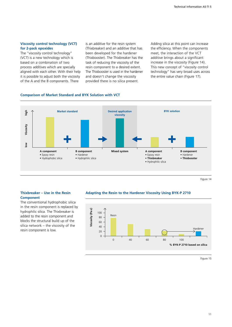#### **Viscosity control technology (VCT) for 2-pack epoxides**

The "viscosity control technology" (VCT) is a new technology which is based on a combination of two process additives which are specially aligned with each other. With their help it is possible to adjust both the viscosity of the A and the B components. There

is an additive for the resin system (Thixbreaker) and an additive that has been developed for the hardener (Thixbooster). The Thixbreaker has the task of reducing the viscosity of the resin component to a desired extent. The Thixbooster is used in the hardener and doesn't change the viscosity provided there is no silica present.

Adding silica at this point can increase the efficiency. When the components meet, the interaction of the VCT additive brings about a significant increase in the viscosity (Figure 14). This new concept of "viscosity control technology" has very broad uses across the entire value chain (Figure 17).

#### **Comparison of Market Standard and BYK Solution with VCT**



Figure 14

#### **Thixbreaker – Use in the Resin Component**

The conventional hydrophobic silica in the resin component is replaced by hydrophilic silica. The Thixbreaker is added to the resin component and blocks the structural build up of the silica network – the viscosity of the resin component is low.

#### **Adapting the Resin to the Hardener Viscosity Using BYK-P 2710**

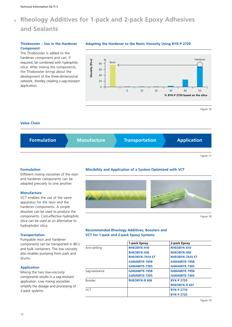#### **Thixbooster – Use in the Hardener Component**

The Thixbooster is added to the hardener component and can, if required, be combined with hydrophilic silica. After mixing the components, the Thixbooster brings about the development of the three-dimensional network, thereby creating a sag-resistant application.



**Adapting the Hardener to the Resin Viscosity Using BYK-P 2720**

Figure 16

#### **Value Chain**



#### **Formulation**

Different mixing viscosities of the resin and hardener components can be adapted precisely to one another.

#### **Manufacture**

VCT enables the use of the same apparatus for the resin and the hardener components. A simple dissolver can be used to produce the components. Cost-effective hydrophilic silica can be used as an alternative to hydrophobic silica.

#### **Transportation**

Pumpable resin and hardener components can be transported in IBCs and bulk containers. The low viscosity also enables pumping from pails and drums.

#### **Application**

Mixing the two low-viscosity components results in a sag-resistant application. Low mixing viscosities simplify the dosage and processing of 2-pack systems.

### **Miscibility and Application of a System Optimized with VCT**



Figure 18

#### **Recommended Rheology Additives, Boosters and VCT for 1-pack and 2-pack Epoxy Systems**

|                | 1-pack Epoxy           | 2-pack Epoxy           |
|----------------|------------------------|------------------------|
| Anti-settling  | RHEOBYK-410            | RHEOBYK-410            |
|                | RHEOBYK-430            | RHEOBYK-430            |
|                | <b>RHEOBYK-7410 ET</b> | <b>RHEOBYK-7410 ET</b> |
|                | <b>GARAMITE-1958</b>   | <b>GARAMITE-1958</b>   |
|                | <b>GARAMITE-7305</b>   | <b>GARAMITE-7305</b>   |
| Sag-resistance | <b>GARAMITE-1958</b>   | <b>GARAMITE-1958</b>   |
|                | <b>GARAMITE-7305</b>   | <b>GARAMITE-7305</b>   |
| <b>Booster</b> | <b>RHEOBYK-R 606</b>   | <b>BYK-P 2720</b>      |
|                |                        | <b>RHEOBYK-R 607</b>   |
| <b>VCT</b>     |                        | <b>BYK-P 2710</b>      |
|                |                        | <b>BYK-P 2720</b>      |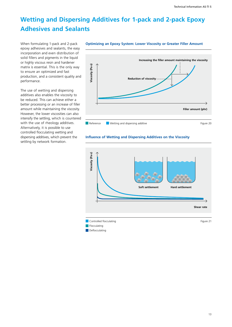# **Wetting and Dispersing Additives for 1-pack and 2-pack Epoxy Adhesives and Sealants**

When formulating 1-pack and 2-pack epoxy adhesives and sealants, the easy incorporation and even distribution of solid fillers and pigments in the liquid or highly viscous resin and hardener matrix is essential. This is the only way to ensure an optimized and fast production, and a consistent quality and performance.

The use of wetting and dispersing additives also enables the viscosity to be reduced. This can achieve either a better processing or an increase of filler amount while maintaining the viscosity. However, the lower viscosities can also intensify the settling, which is countered with the use of rheology additives. Alternatively, it is possible to use controlled flocculating wetting and dispersing additives, which prevent the settling by network formation.



#### **Optimizing an Epoxy System: Lower Viscosity or Greater Filler Amount**



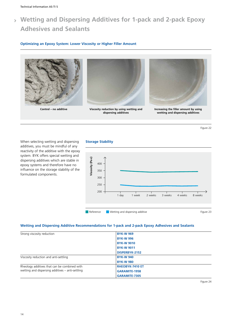# **Wetting and Dispersing Additives for 1-pack and 2-pack Epoxy Adhesives and Sealants**

#### **Optimizing an Epoxy System: Lower Viscosity or Higher Filler Amount**





**Control – no additive Viscosity reduction by using wetting and dispersing additives**



**Increasing the filler amount by using wetting and dispersing additives**

Figure 22

When selecting wetting and dispersing additives, you must be mindful of any reactivity of the additive with the epoxy system. BYK offers special wetting and dispersing additives which are stable in epoxy systems and therefore have no influence on the storage stability of the formulated components.

#### **Storage Stability**



#### **Wetting and Dispersing Additive Recommendations for 1-pack and 2-pack Epoxy Adhesives and Sealants**

| Strong viscosity reduction                       | <b>BYK-W 969</b>       |
|--------------------------------------------------|------------------------|
|                                                  |                        |
|                                                  | <b>BYK-W 996</b>       |
|                                                  | <b>BYK-W 9010</b>      |
|                                                  | <b>BYK-W 9011</b>      |
|                                                  | DISPERBYK-2152         |
| Viscosity reduction and anti-settling            | <b>BYK-W 940</b>       |
|                                                  | <b>BYK-W 980</b>       |
| Rheology additives that can be combined with     | <b>RHEOBYK-7410 ET</b> |
| wetting and dispersing additives – anti-settling | <b>GARAMITE-1958</b>   |
|                                                  | <b>GARAMITE-7305</b>   |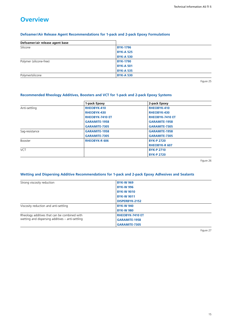### **Overview**

#### **Defoamer/Air Release Agent Recommendations for 1-pack and 2-pack Epoxy Formulations**

| Defoamer/air release agent base |                  |
|---------------------------------|------------------|
| Silicone                        | <b>BYK-1796</b>  |
|                                 | <b>BYK-A 525</b> |
|                                 | <b>BYK-A 530</b> |
| Polymer (silicone-free)         | <b>BYK-1790</b>  |
|                                 | <b>BYK-A 501</b> |
|                                 | <b>BYK-A 535</b> |
| Polymer/silicone                | <b>BYK-A 530</b> |

Figure 25

### **Recommended Rheology Additives, Boosters and VCT for 1-pack and 2-pack Epoxy Systems**

|                | 1-pack Epoxy           | 2-pack Epoxy           |  |
|----------------|------------------------|------------------------|--|
| Anti-settling  | <b>RHEOBYK-410</b>     | RHEOBYK-410            |  |
|                | <b>RHEOBYK-430</b>     | RHEOBYK-430            |  |
|                | <b>RHEOBYK-7410 ET</b> | <b>RHEOBYK-7410 ET</b> |  |
|                | <b>GARAMITE-1958</b>   | <b>GARAMITE-1958</b>   |  |
|                | <b>GARAMITE-7305</b>   | <b>GARAMITE-7305</b>   |  |
| Sag-resistance | <b>GARAMITE-1958</b>   | <b>GARAMITE-1958</b>   |  |
|                | <b>GARAMITE-7305</b>   | <b>GARAMITE-7305</b>   |  |
| Booster        | <b>RHEOBYK-R 606</b>   | <b>BYK-P 2720</b>      |  |
|                |                        | <b>RHEOBYK-R 607</b>   |  |
| <b>VCT</b>     |                        | <b>BYK-P 2710</b>      |  |
|                |                        | <b>BYK-P 2720</b>      |  |

Figure 26

#### **Wetting and Dispersing Additive Recommendations for 1-pack and 2-pack Epoxy Adhesives and Sealants**

| Strong viscosity reduction                                                                       | <b>BYK-W 969</b>       |  |
|--------------------------------------------------------------------------------------------------|------------------------|--|
|                                                                                                  | <b>BYK-W 996</b>       |  |
|                                                                                                  | <b>BYK-W 9010</b>      |  |
|                                                                                                  | <b>BYK-W 9011</b>      |  |
|                                                                                                  | DISPERBYK-2152         |  |
| Viscosity reduction and anti-settling                                                            | <b>BYK-W 940</b>       |  |
|                                                                                                  | <b>BYK-W 980</b>       |  |
| Rheology additives that can be combined with<br>wetting and dispersing additives – anti-settling | <b>RHEOBYK-7410 ET</b> |  |
|                                                                                                  | <b>GARAMITE-1958</b>   |  |
|                                                                                                  | <b>GARAMITE-7305</b>   |  |